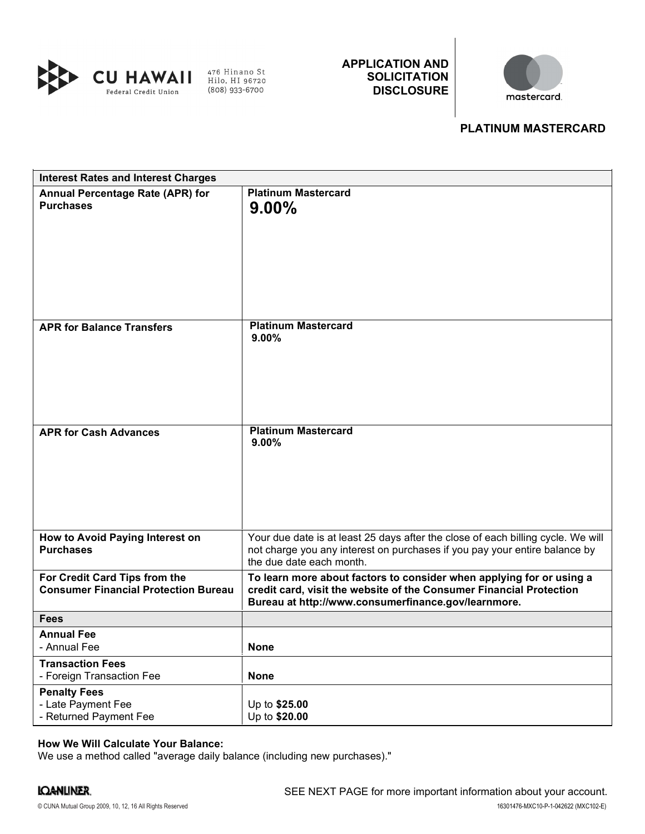

APPLICATION AND **SOLICITATION** DISCLOSURE



# PLATINUM MASTERCARD

| <b>Interest Rates and Interest Charges</b>                                   |                                                                                                                                                                                                    |
|------------------------------------------------------------------------------|----------------------------------------------------------------------------------------------------------------------------------------------------------------------------------------------------|
| Annual Percentage Rate (APR) for<br><b>Purchases</b>                         | <b>Platinum Mastercard</b><br>$9.00\%$                                                                                                                                                             |
| <b>APR for Balance Transfers</b>                                             | <b>Platinum Mastercard</b><br>9.00%                                                                                                                                                                |
| <b>APR for Cash Advances</b>                                                 | <b>Platinum Mastercard</b><br>$9.00\%$                                                                                                                                                             |
| How to Avoid Paying Interest on<br><b>Purchases</b>                          | Your due date is at least 25 days after the close of each billing cycle. We will<br>not charge you any interest on purchases if you pay your entire balance by<br>the due date each month.         |
| For Credit Card Tips from the<br><b>Consumer Financial Protection Bureau</b> | To learn more about factors to consider when applying for or using a<br>credit card, visit the website of the Consumer Financial Protection<br>Bureau at http://www.consumerfinance.gov/learnmore. |
| <b>Fees</b>                                                                  |                                                                                                                                                                                                    |
| <b>Annual Fee</b><br>- Annual Fee                                            | <b>None</b>                                                                                                                                                                                        |
| <b>Transaction Fees</b><br>- Foreign Transaction Fee                         | <b>None</b>                                                                                                                                                                                        |
| <b>Penalty Fees</b><br>- Late Payment Fee<br>- Returned Payment Fee          | Up to \$25.00<br>Up to \$20.00                                                                                                                                                                     |

# How We Will Calculate Your Balance:

We use a method called "average daily balance (including new purchases)."